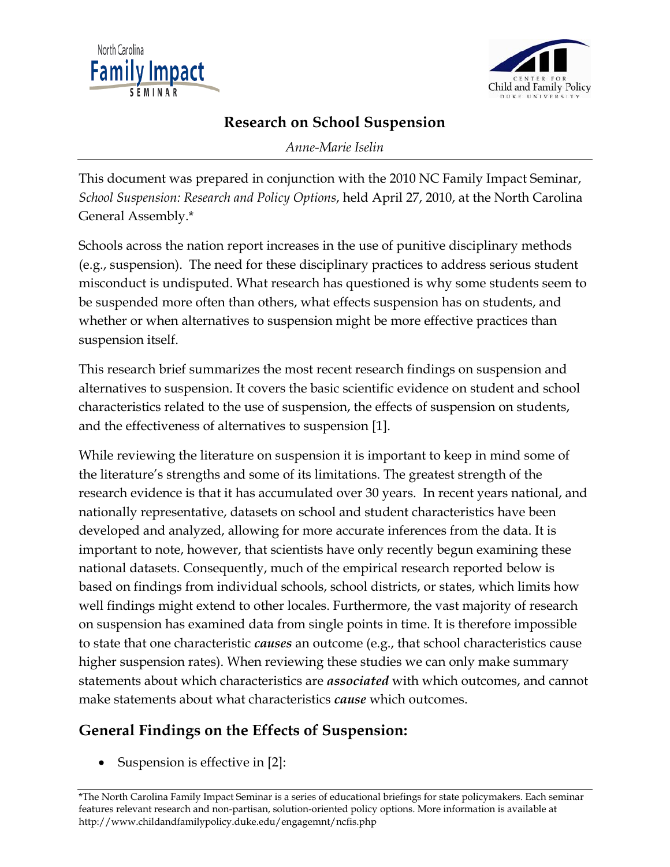



## **Research on School Suspension**

*Anne-Marie Iselin* 

This document was prepared in conjunction with the 2010 NC Family Impact Seminar, *School Suspension: Research and Policy Options*, held April 27, 2010, at the North Carolina General Assembly.\*

Schools across the nation report increases in the use of punitive disciplinary methods (e.g., suspension). The need for these disciplinary practices to address serious student misconduct is undisputed. What research has questioned is why some students seem to be suspended more often than others, what effects suspension has on students, and whether or when alternatives to suspension might be more effective practices than suspension itself.

This research brief summarizes the most recent research findings on suspension and alternatives to suspension. It covers the basic scientific evidence on student and school characteristics related to the use of suspension, the effects of suspension on students, and the effectiveness of alternatives to suspension [1].

While reviewing the literature on suspension it is important to keep in mind some of the literature's strengths and some of its limitations. The greatest strength of the research evidence is that it has accumulated over 30 years. In recent years national, and nationally representative, datasets on school and student characteristics have been developed and analyzed, allowing for more accurate inferences from the data. It is important to note, however, that scientists have only recently begun examining these national datasets. Consequently, much of the empirical research reported below is based on findings from individual schools, school districts, or states, which limits how well findings might extend to other locales. Furthermore, the vast majority of research on suspension has examined data from single points in time. It is therefore impossible to state that one characteristic *causes* an outcome (e.g., that school characteristics cause higher suspension rates). When reviewing these studies we can only make summary statements about which characteristics are *associated* with which outcomes, and cannot make statements about what characteristics *cause* which outcomes.

# **General Findings on the Effects of Suspension:**

Suspension is effective in [2]:

\*The North Carolina Family Impact Seminar is a series of educational briefings for state policymakers. Each seminar features relevant research and non-partisan, solution-oriented policy options. More information is available at http://www.childandfamilypolicy.duke.edu/engagemnt/ncfis.php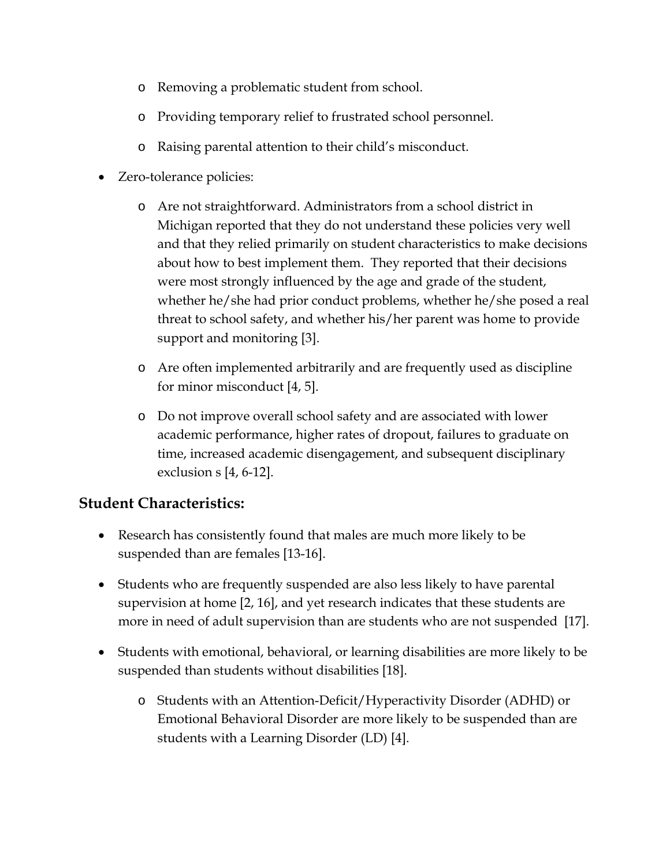- o Removing a problematic student from school.
- o Providing temporary relief to frustrated school personnel.
- o Raising parental attention to their child's misconduct.
- Zero-tolerance policies:
	- o Are not straightforward. Administrators from a school district in Michigan reported that they do not understand these policies very well and that they relied primarily on student characteristics to make decisions about how to best implement them. They reported that their decisions were most strongly influenced by the age and grade of the student, whether he/she had prior conduct problems, whether he/she posed a real threat to school safety, and whether his/her parent was home to provide support and monitoring [3].
	- o Are often implemented arbitrarily and are frequently used as discipline for minor misconduct [4, 5].
	- o Do not improve overall school safety and are associated with lower academic performance, higher rates of dropout, failures to graduate on time, increased academic disengagement, and subsequent disciplinary exclusion s [4, 6-12].

#### **Student Characteristics:**

- Research has consistently found that males are much more likely to be suspended than are females [13-16].
- Students who are frequently suspended are also less likely to have parental supervision at home [2, 16], and yet research indicates that these students are more in need of adult supervision than are students who are not suspended [17].
- Students with emotional, behavioral, or learning disabilities are more likely to be suspended than students without disabilities [18].
	- o Students with an Attention-Deficit/Hyperactivity Disorder (ADHD) or Emotional Behavioral Disorder are more likely to be suspended than are students with a Learning Disorder (LD) [4].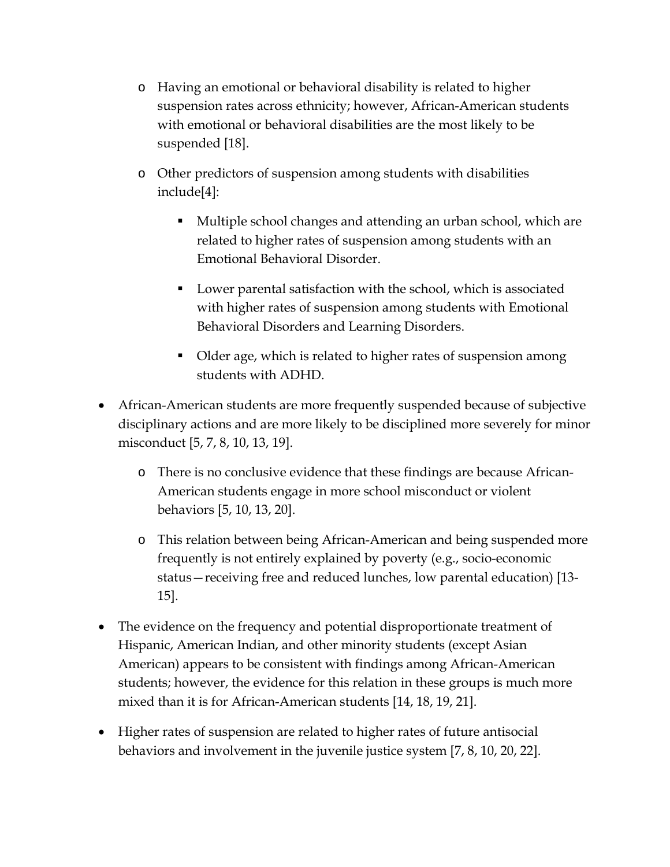- o Having an emotional or behavioral disability is related to higher suspension rates across ethnicity; however, African-American students with emotional or behavioral disabilities are the most likely to be suspended [18].
- o Other predictors of suspension among students with disabilities include[4]:
	- Multiple school changes and attending an urban school, which are related to higher rates of suspension among students with an Emotional Behavioral Disorder.
	- Lower parental satisfaction with the school, which is associated with higher rates of suspension among students with Emotional Behavioral Disorders and Learning Disorders.
	- Older age, which is related to higher rates of suspension among students with ADHD.
- African-American students are more frequently suspended because of subjective disciplinary actions and are more likely to be disciplined more severely for minor misconduct [5, 7, 8, 10, 13, 19].
	- o There is no conclusive evidence that these findings are because African-American students engage in more school misconduct or violent behaviors [5, 10, 13, 20].
	- o This relation between being African-American and being suspended more frequently is not entirely explained by poverty (e.g., socio-economic status—receiving free and reduced lunches, low parental education) [13- 15].
- The evidence on the frequency and potential disproportionate treatment of Hispanic, American Indian, and other minority students (except Asian American) appears to be consistent with findings among African-American students; however, the evidence for this relation in these groups is much more mixed than it is for African-American students [14, 18, 19, 21].
- Higher rates of suspension are related to higher rates of future antisocial behaviors and involvement in the juvenile justice system [7, 8, 10, 20, 22].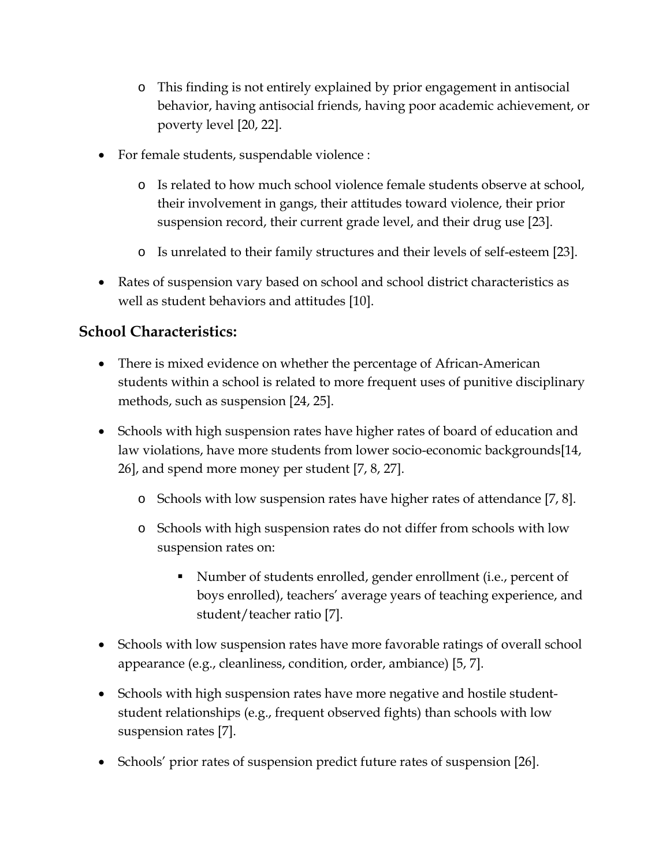- o This finding is not entirely explained by prior engagement in antisocial behavior, having antisocial friends, having poor academic achievement, or poverty level [20, 22].
- For female students, suspendable violence :
	- o Is related to how much school violence female students observe at school, their involvement in gangs, their attitudes toward violence, their prior suspension record, their current grade level, and their drug use [23].
	- o Is unrelated to their family structures and their levels of self-esteem [23].
- Rates of suspension vary based on school and school district characteristics as well as student behaviors and attitudes [10].

## **School Characteristics:**

- There is mixed evidence on whether the percentage of African-American students within a school is related to more frequent uses of punitive disciplinary methods, such as suspension [24, 25].
- Schools with high suspension rates have higher rates of board of education and law violations, have more students from lower socio-economic backgrounds[14, 26], and spend more money per student [7, 8, 27].
	- o Schools with low suspension rates have higher rates of attendance [7, 8].
	- o Schools with high suspension rates do not differ from schools with low suspension rates on:
		- Number of students enrolled, gender enrollment (i.e., percent of boys enrolled), teachers' average years of teaching experience, and student/teacher ratio [7].
- Schools with low suspension rates have more favorable ratings of overall school appearance (e.g., cleanliness, condition, order, ambiance) [5, 7].
- Schools with high suspension rates have more negative and hostile studentstudent relationships (e.g., frequent observed fights) than schools with low suspension rates [7].
- Schools' prior rates of suspension predict future rates of suspension [26].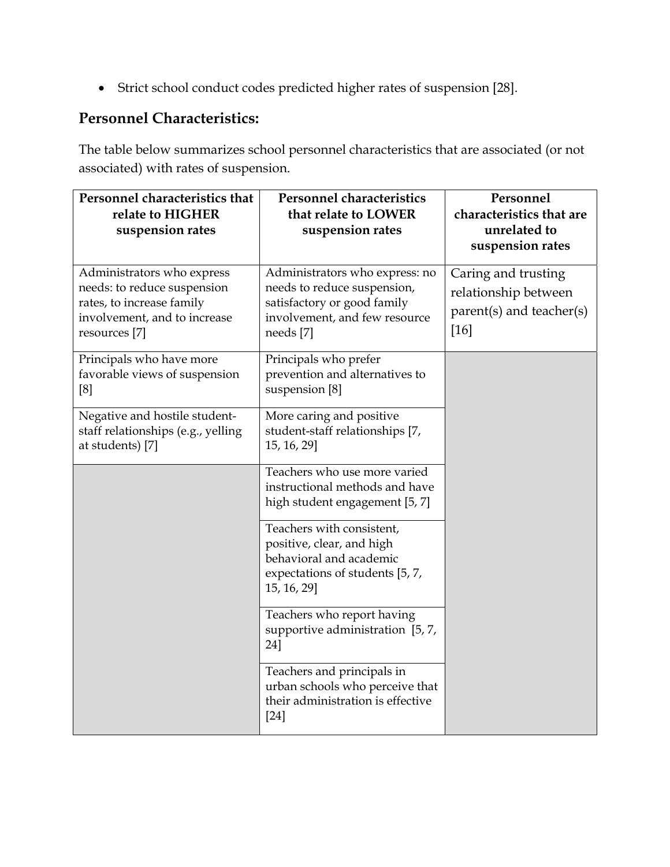Strict school conduct codes predicted higher rates of suspension [28].

## **Personnel Characteristics:**

The table below summarizes school personnel characteristics that are associated (or not associated) with rates of suspension.

| Personnel characteristics that<br>relate to HIGHER<br>suspension rates                                                                  | <b>Personnel characteristics</b><br>that relate to LOWER<br>suspension rates                                                               | Personnel<br>characteristics that are<br>unrelated to<br>suspension rates       |
|-----------------------------------------------------------------------------------------------------------------------------------------|--------------------------------------------------------------------------------------------------------------------------------------------|---------------------------------------------------------------------------------|
| Administrators who express<br>needs: to reduce suspension<br>rates, to increase family<br>involvement, and to increase<br>resources [7] | Administrators who express: no<br>needs to reduce suspension,<br>satisfactory or good family<br>involvement, and few resource<br>needs [7] | Caring and trusting<br>relationship between<br>parent(s) and teacher(s)<br>[16] |
| Principals who have more<br>favorable views of suspension<br>[8]                                                                        | Principals who prefer<br>prevention and alternatives to<br>suspension [8]                                                                  |                                                                                 |
| Negative and hostile student-<br>staff relationships (e.g., yelling<br>at students) [7]                                                 | More caring and positive<br>student-staff relationships [7,<br>15, 16, 29]                                                                 |                                                                                 |
|                                                                                                                                         | Teachers who use more varied<br>instructional methods and have<br>high student engagement [5, 7]                                           |                                                                                 |
|                                                                                                                                         | Teachers with consistent,<br>positive, clear, and high<br>behavioral and academic<br>expectations of students [5, 7,<br>15, 16, 29]        |                                                                                 |
|                                                                                                                                         | Teachers who report having<br>supportive administration [5, 7,<br>24]                                                                      |                                                                                 |
|                                                                                                                                         | Teachers and principals in<br>urban schools who perceive that<br>their administration is effective<br>$[24]$                               |                                                                                 |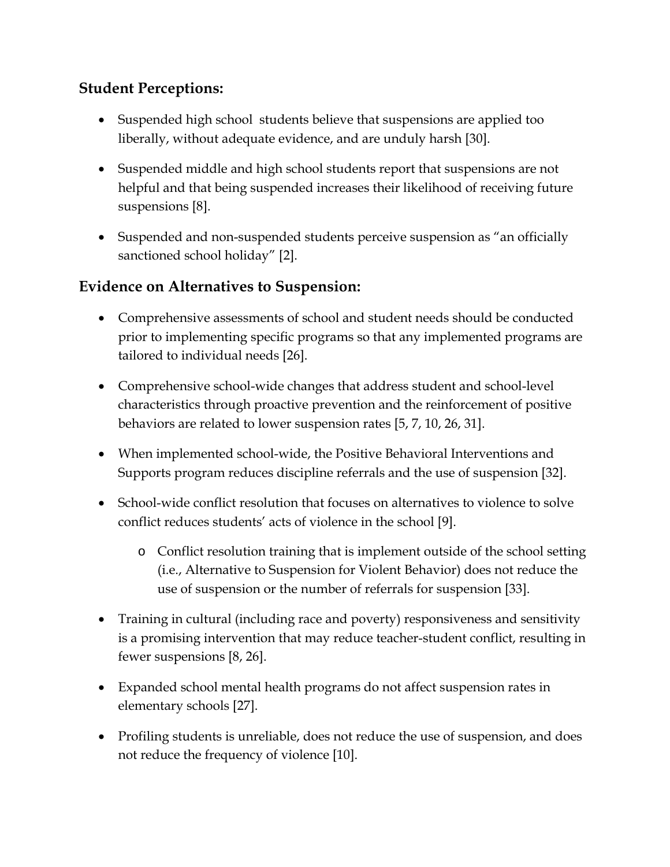## **Student Perceptions:**

- Suspended high school students believe that suspensions are applied too liberally, without adequate evidence, and are unduly harsh [30].
- Suspended middle and high school students report that suspensions are not helpful and that being suspended increases their likelihood of receiving future suspensions [8].
- Suspended and non-suspended students perceive suspension as "an officially sanctioned school holiday" [2].

#### **Evidence on Alternatives to Suspension:**

- Comprehensive assessments of school and student needs should be conducted prior to implementing specific programs so that any implemented programs are tailored to individual needs [26].
- Comprehensive school-wide changes that address student and school-level characteristics through proactive prevention and the reinforcement of positive behaviors are related to lower suspension rates [5, 7, 10, 26, 31].
- When implemented school-wide, the Positive Behavioral Interventions and Supports program reduces discipline referrals and the use of suspension [32].
- School-wide conflict resolution that focuses on alternatives to violence to solve conflict reduces students' acts of violence in the school [9].
	- o Conflict resolution training that is implement outside of the school setting (i.e., Alternative to Suspension for Violent Behavior) does not reduce the use of suspension or the number of referrals for suspension [33].
- Training in cultural (including race and poverty) responsiveness and sensitivity is a promising intervention that may reduce teacher-student conflict, resulting in fewer suspensions [8, 26].
- Expanded school mental health programs do not affect suspension rates in elementary schools [27].
- Profiling students is unreliable, does not reduce the use of suspension, and does not reduce the frequency of violence [10].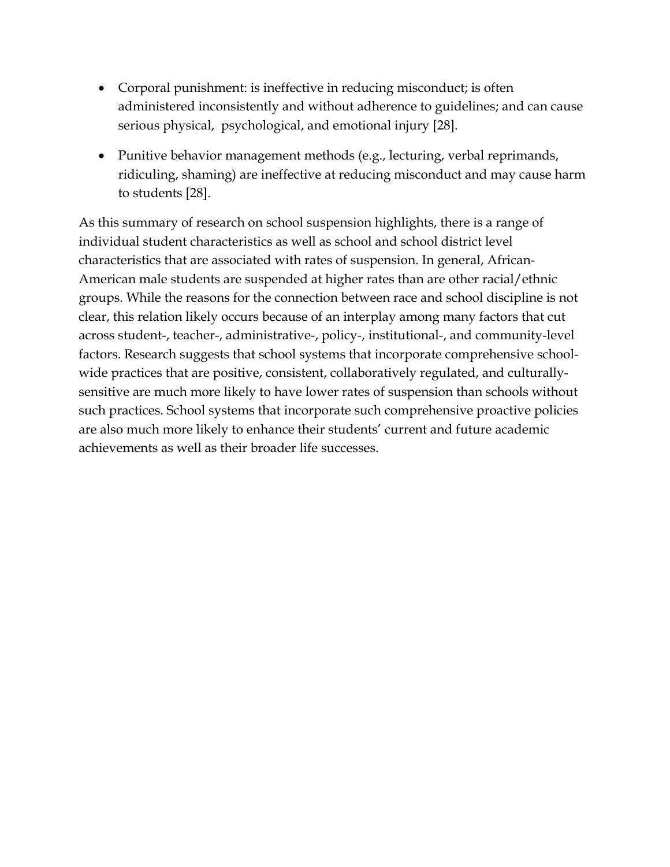- Corporal punishment: is ineffective in reducing misconduct; is often administered inconsistently and without adherence to guidelines; and can cause serious physical, psychological, and emotional injury [28].
- Punitive behavior management methods (e.g., lecturing, verbal reprimands, ridiculing, shaming) are ineffective at reducing misconduct and may cause harm to students [28].

As this summary of research on school suspension highlights, there is a range of individual student characteristics as well as school and school district level characteristics that are associated with rates of suspension. In general, African-American male students are suspended at higher rates than are other racial/ethnic groups. While the reasons for the connection between race and school discipline is not clear, this relation likely occurs because of an interplay among many factors that cut across student-, teacher-, administrative-, policy-, institutional-, and community-level factors. Research suggests that school systems that incorporate comprehensive schoolwide practices that are positive, consistent, collaboratively regulated, and culturallysensitive are much more likely to have lower rates of suspension than schools without such practices. School systems that incorporate such comprehensive proactive policies are also much more likely to enhance their students' current and future academic achievements as well as their broader life successes.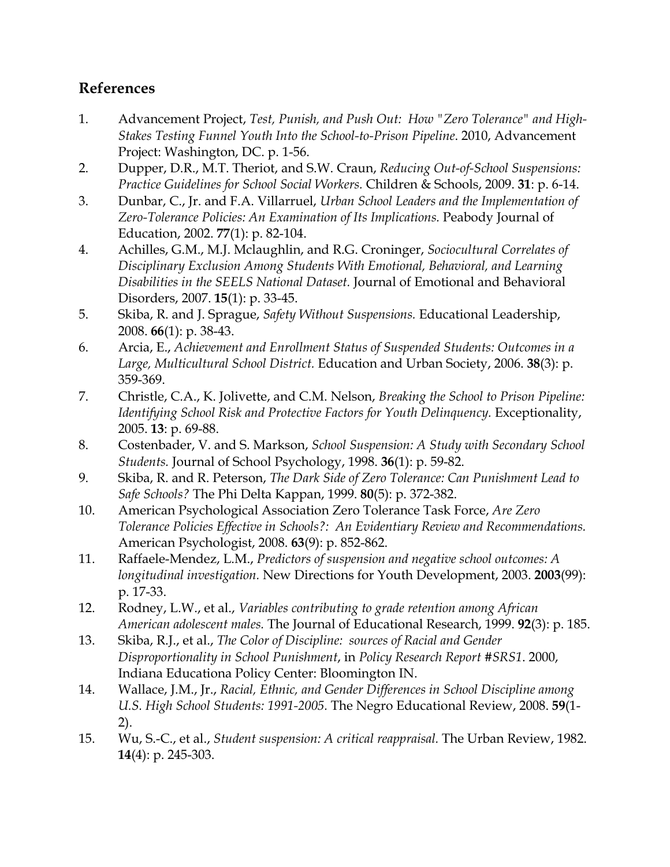#### **References**

- 1. Advancement Project, *Test, Punish, and Push Out: How "Zero Tolerance" and High-Stakes Testing Funnel Youth Into the School-to-Prison Pipeline*. 2010, Advancement Project: Washington, DC. p. 1-56.
- 2. Dupper, D.R., M.T. Theriot, and S.W. Craun, *Reducing Out-of-School Suspensions: Practice Guidelines for School Social Workers.* Children & Schools, 2009. **31**: p. 6-14.
- 3. Dunbar, C., Jr. and F.A. Villarruel, *Urban School Leaders and the Implementation of Zero-Tolerance Policies: An Examination of Its Implications.* Peabody Journal of Education, 2002. **77**(1): p. 82-104.
- 4. Achilles, G.M., M.J. Mclaughlin, and R.G. Croninger, *Sociocultural Correlates of Disciplinary Exclusion Among Students With Emotional, Behavioral, and Learning Disabilities in the SEELS National Dataset.* Journal of Emotional and Behavioral Disorders, 2007. **15**(1): p. 33-45.
- 5. Skiba, R. and J. Sprague, *Safety Without Suspensions.* Educational Leadership, 2008. **66**(1): p. 38-43.
- 6. Arcia, E., *Achievement and Enrollment Status of Suspended Students: Outcomes in a Large, Multicultural School District.* Education and Urban Society, 2006. **38**(3): p. 359-369.
- 7. Christle, C.A., K. Jolivette, and C.M. Nelson, *Breaking the School to Prison Pipeline: Identifying School Risk and Protective Factors for Youth Delinquency.* Exceptionality, 2005. **13**: p. 69-88.
- 8. Costenbader, V. and S. Markson, *School Suspension: A Study with Secondary School Students.* Journal of School Psychology, 1998. **36**(1): p. 59-82.
- 9. Skiba, R. and R. Peterson, *The Dark Side of Zero Tolerance: Can Punishment Lead to Safe Schools?* The Phi Delta Kappan, 1999. **80**(5): p. 372-382.
- 10. American Psychological Association Zero Tolerance Task Force, *Are Zero Tolerance Policies Effective in Schools?: An Evidentiary Review and Recommendations.* American Psychologist, 2008. **63**(9): p. 852-862.
- 11. Raffaele-Mendez, L.M., *Predictors of suspension and negative school outcomes: A longitudinal investigation.* New Directions for Youth Development, 2003. **2003**(99): p. 17-33.
- 12. Rodney, L.W., et al., *Variables contributing to grade retention among African American adolescent males.* The Journal of Educational Research, 1999. **92**(3): p. 185.
- 13. Skiba, R.J., et al., *The Color of Discipline: sources of Racial and Gender Disproportionality in School Punishment*, in *Policy Research Report #SRS1*. 2000, Indiana Educationa Policy Center: Bloomington IN.
- 14. Wallace, J.M., Jr., *Racial, Ethnic, and Gender Differences in School Discipline among U.S. High School Students: 1991-2005.* The Negro Educational Review, 2008. **59**(1- 2).
- 15. Wu, S.-C., et al., *Student suspension: A critical reappraisal.* The Urban Review, 1982. **14**(4): p. 245-303.